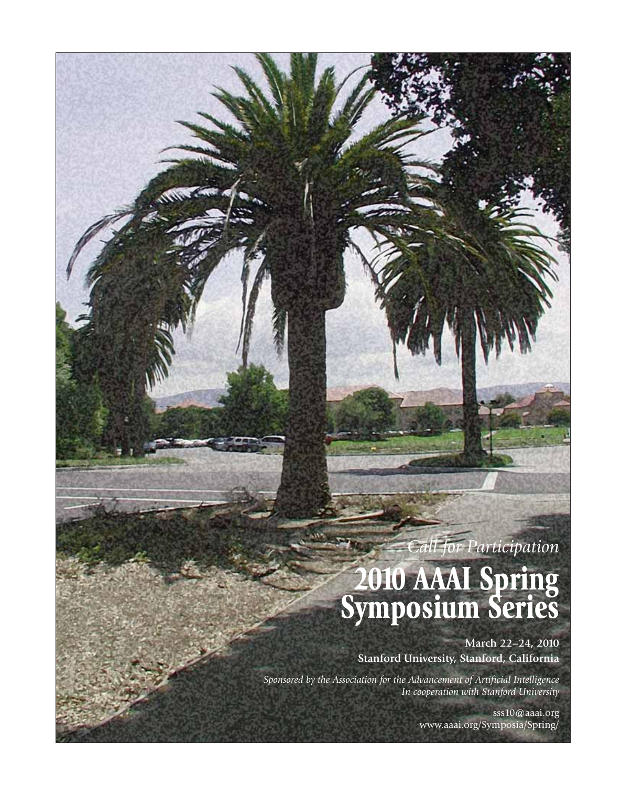### *Call for Participation*

## **2010 AAAI Spring Symposium Series**

**March 22–24, 2010 Stanford University, Stanford, California**

*Sponsored by the Association for the Advancement of Artificial Intelligence In cooperation with Stanford University*

> sss10@aaai.org www.aaai.org/Symposia/Spring/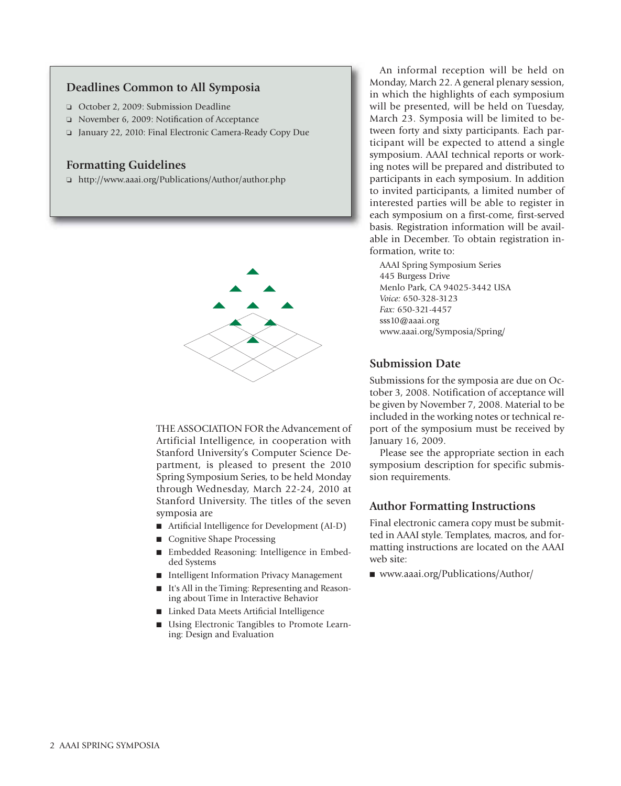#### **Deadlines Common to All Symposia**

- o October 2, 2009: Submission Deadline
- o November 6, 2009: Notification of Acceptance
- o January 22, 2010: Final Electronic Camera-Ready Copy Due

#### **Formatting Guidelines**

o http://www.aaai.org/Publications/Author/author.php



THE ASSOCIATION FOR the Advancement of Artificial Intelligence, in cooperation with Stanford University's Computer Science Department, is pleased to present the 2010 Spring Symposium Series, to be held Monday through Wednesday, March 22-24, 2010 at Stanford University. The titles of the seven symposia are

- $\blacksquare$  Artificial Intelligence for Development (AI-D)
- Cognitive Shape Processing
- n Embedded Reasoning: Intelligence in Embedded Systems
- Intelligent Information Privacy Management
- It's All in the Timing: Representing and Reasoning about Time in Interactive Behavior
- Linked Data Meets Artificial Intelligence
- Using Electronic Tangibles to Promote Learning: Design and Evaluation

An informal reception will be held on Monday, March 22. A general plenary session, in which the highlights of each symposium will be presented, will be held on Tuesday, March 23. Symposia will be limited to between forty and sixty participants. Each participant will be expected to attend a single symposium. AAAI technical reports or working notes will be prepared and distributed to participants in each symposium. In addition to invited participants, a limited number of interested parties will be able to register in each symposium on a first-come, first-served basis. Registration information will be available in December. To obtain registration information, write to:

AAAI Spring Symposium Series 445 Burgess Drive Menlo Park, CA 94025-3442 USA *Voice:* 650-328-3123 *Fax:* 650-321-4457 sss10@aaai.org www.aaai.org/Symposia/Spring/

#### **Submission Date**

Submissions for the symposia are due on October 3, 2008. Notification of acceptance will be given by November 7, 2008. Material to be included in the working notes or technical report of the symposium must be received by January 16, 2009.

Please see the appropriate section in each symposium description for specific submission requirements.

#### **Author Formatting Instructions**

Final electronic camera copy must be submitted in AAAI style. Templates, macros, and formatting instructions are located on the AAAI web site:

■ www.aaai.org/Publications/Author/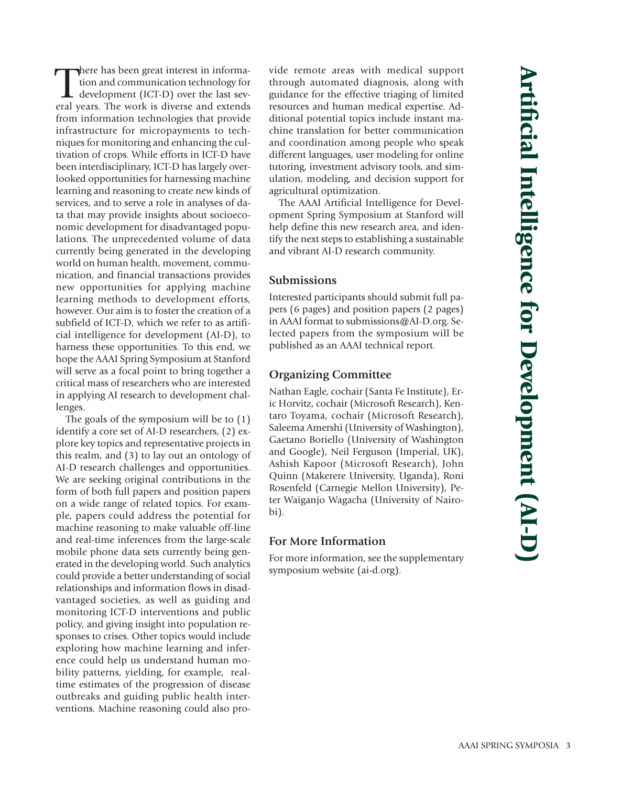There has been great interest in information and communication technology for development (ICT-D) over the last several years. The work is diverse and extends here has been great interest in information and communication technology for development (ICT-D) over the last sevfrom information technologies that provide infrastructure for micropayments to techniques for monitoring and enhancing the cultivation of crops. While efforts in ICT-D have been interdisciplinary, ICT-D has largely overlooked opportunities for harnessing machine learning and reasoning to create new kinds of services, and to serve a role in analyses of data that may provide insights about socioeconomic development for disadvantaged populations. The unprecedented volume of data currently being generated in the developing world on human health, movement, communication, and financial transactions provides new opportunities for applying machine learning methods to development efforts, however. Our aim is to foster the creation of a subfield of ICT-D, which we refer to as artificial intelligence for development (AI-D), to harness these opportunities. To this end, we hope the AAAI Spring Symposium at Stanford will serve as a focal point to bring together a critical mass of researchers who are interested in applying AI research to development challenges.

The goals of the symposium will be to (1) identify a core set of AI-D researchers, (2) explore key topics and representative projects in this realm, and (3) to lay out an ontology of AI-D research challenges and opportunities. We are seeking original contributions in the form of both full papers and position papers on a wide range of related topics. For example, papers could address the potential for machine reasoning to make valuable off-line and real-time inferences from the large-scale mobile phone data sets currently being generated in the developing world. Such analytics could provide a better understanding of social relationships and information flows in disadvantaged societies, as well as guiding and monitoring ICT-D interventions and public policy, and giving insight into population responses to crises. Other topics would include exploring how machine learning and inference could help us understand human mobility patterns, yielding, for example, realtime estimates of the progression of disease outbreaks and guiding public health interventions. Machine reasoning could also provide remote areas with medical support through automated diagnosis, along with guidance for the effective triaging of limited resources and human medical expertise. Additional potential topics include instant machine translation for better communication and coordination among people who speak different languages, user modeling for online tutoring, investment advisory tools, and simulation, modeling, and decision support for agricultural optimization.

The AAAI Artificial Intelligence for Development Spring Symposium at Stanford will help define this new research area, and identify the next steps to establishing a sustainable and vibrant AI-D research community.

#### **Submissions**

Interested participants should submit full papers (6 pages) and position papers (2 pages) in AAAI format to submissions@AI-D.org. Selected papers from the symposium will be published as an AAAI technical report.

#### **Organizing Committee**

Nathan Eagle, cochair (Santa Fe Institute), Eric Horvitz, cochair (Microsoft Research), Kentaro Toyama, cochair (Microsoft Research), Saleema Amershi (University of Washington), Gaetano Boriello (University of Washington and Google), Neil Ferguson (Imperial, UK), Ashish Kapoor (Microsoft Research), John Quinn (Makerere University, Uganda), Roni Rosenfeld (Carnegie Mellon University), Peter Waiganjo Wagacha (University of Nairobi).

#### **For More Information**

For more information, see the supplementary symposium website (ai-d.org).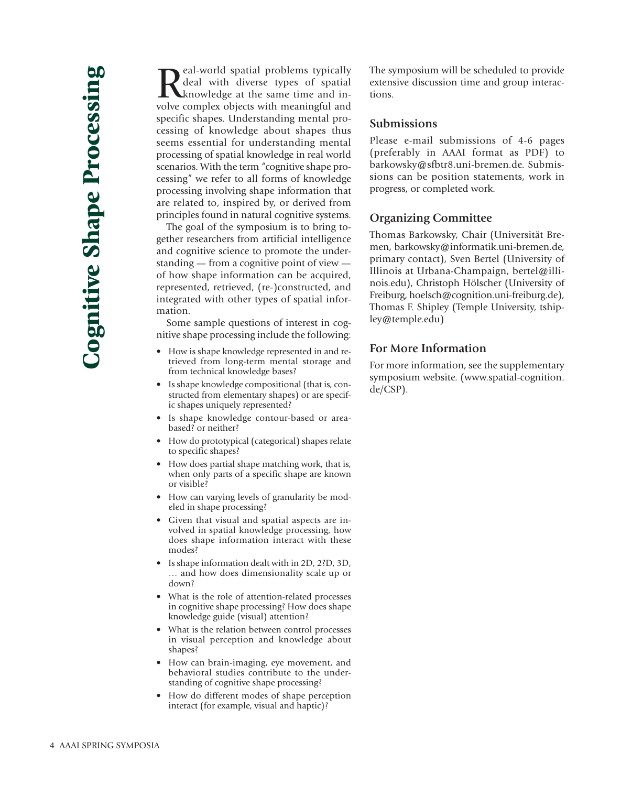Real-world spatial problems typically<br>deal with diverse types of spatial<br>wolve complex objects with meaningful and deal with diverse types of spatial knowledge at the same time and involve complex objects with meaningful and specific shapes. Understanding mental processing of knowledge about shapes thus seems essential for understanding mental processing of spatial knowledge in real world scenarios. With the term "cognitive shape processing" we refer to all forms of knowledge processing involving shape information that are related to, inspired by, or derived from principles found in natural cognitive systems.

The goal of the symposium is to bring together researchers from artificial intelligence and cognitive science to promote the understanding — from a cognitive point of view of how shape information can be acquired, represented, retrieved, (re-)constructed, and integrated with other types of spatial information.

Some sample questions of interest in cognitive shape processing include the following:

- How is shape knowledge represented in and retrieved from long-term mental storage and from technical knowledge bases?
- Is shape knowledge compositional (that is, constructed from elementary shapes) or are specific shapes uniquely represented?
- Is shape knowledge contour-based or areabased? or neither?
- How do prototypical (categorical) shapes relate to specific shapes?
- How does partial shape matching work, that is, when only parts of a specific shape are known or visible?
- How can varying levels of granularity be modeled in shape processing?
- Given that visual and spatial aspects are involved in spatial knowledge processing, how does shape information interact with these modes?
- Is shape information dealt with in 2D, 2?D, 3D, … and how does dimensionality scale up or down?
- What is the role of attention-related processes in cognitive shape processing? How does shape knowledge guide (visual) attention?
- What is the relation between control processes in visual perception and knowledge about shapes?
- How can brain-imaging, eye movement, and behavioral studies contribute to the understanding of cognitive shape processing?
- How do different modes of shape perception interact (for example, visual and haptic)?

The symposium will be scheduled to provide extensive discussion time and group interactions.

#### **Submissions**

Please e-mail submissions of 4-6 pages (preferably in AAAI format as PDF) to barkowsky@sfbtr8.uni-bremen.de. Submissions can be position statements, work in progress, or completed work.

#### **Organizing Committee**

Thomas Barkowsky, Chair (Universität Bremen, barkowsky@informatik.uni-bremen.de, primary contact), Sven Bertel (University of Illinois at Urbana-Champaign, bertel@illinois.edu), Christoph Hölscher (University of Freiburg, hoelsch@cognition.uni-freiburg.de), Thomas F. Shipley (Temple University, tshipley@temple.edu)

#### **For More Information**

For more information, see the supplementary symposium website. (www.spatial-cognition. de/CSP).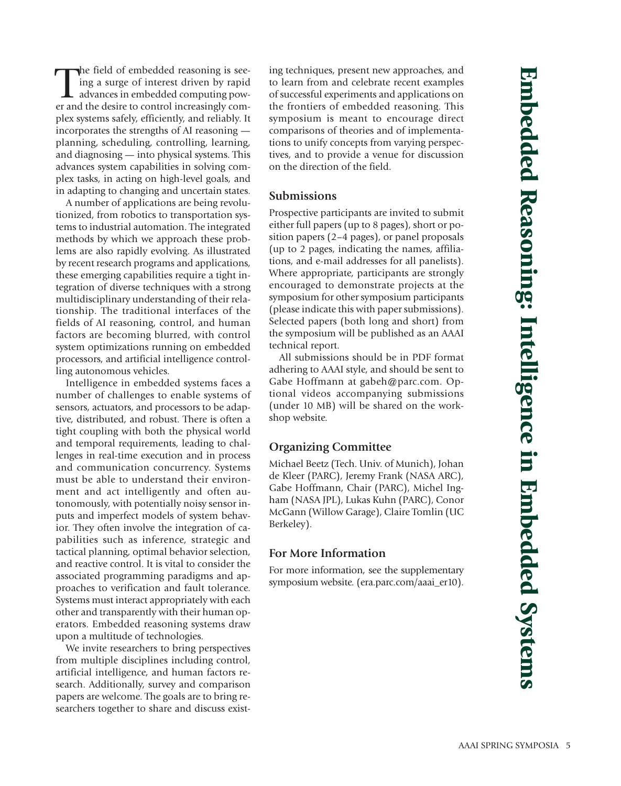The field of embedded reasoning is see-<br>
ing a surge of interest driven by rapid<br>
advances in embedded computing pow-<br>
er and the desire to control increasingly comhe field of embedded reasoning is seeing a surge of interest driven by rapid advances in embedded computing powplex systems safely, efficiently, and reliably. It incorporates the strengths of AI reasoning planning, scheduling, controlling, learning, and diagnosing — into physical systems. This advances system capabilities in solving complex tasks, in acting on high-level goals, and in adapting to changing and uncertain states.

A number of applications are being revolutionized, from robotics to transportation systems to industrial automation. The integrated methods by which we approach these problems are also rapidly evolving. As illustrated by recent research programs and applications, these emerging capabilities require a tight integration of diverse techniques with a strong multidisciplinary understanding of their relationship. The traditional interfaces of the fields of AI reasoning, control, and human factors are becoming blurred, with control system optimizations running on embedded processors, and artificial intelligence controlling autonomous vehicles.

Intelligence in embedded systems faces a number of challenges to enable systems of sensors, actuators, and processors to be adaptive, distributed, and robust. There is often a tight coupling with both the physical world and temporal requirements, leading to challenges in real-time execution and in process and communication concurrency. Systems must be able to understand their environment and act intelligently and often autonomously, with potentially noisy sensor inputs and imperfect models of system behavior. They often involve the integration of capabilities such as inference, strategic and tactical planning, optimal behavior selection, and reactive control. It is vital to consider the associated programming paradigms and approaches to verification and fault tolerance. Systems must interact appropriately with each other and transparently with their human operators. Embedded reasoning systems draw upon a multitude of technologies.

We invite researchers to bring perspectives from multiple disciplines including control, artificial intelligence, and human factors research. Additionally, survey and comparison papers are welcome. The goals are to bring researchers together to share and discuss existing techniques, present new approaches, and to learn from and celebrate recent examples of successful experiments and applications on the frontiers of embedded reasoning. This symposium is meant to encourage direct comparisons of theories and of implementations to unify concepts from varying perspectives, and to provide a venue for discussion on the direction of the field.

#### **Submissions**

Prospective participants are invited to submit either full papers (up to 8 pages), short or position papers (2–4 pages), or panel proposals (up to 2 pages, indicating the names, affiliations, and e-mail addresses for all panelists). Where appropriate, participants are strongly encouraged to demonstrate projects at the symposium for other symposium participants (please indicate this with paper submissions). Selected papers (both long and short) from the symposium will be published as an AAAI technical report.

All submissions should be in PDF format adhering to AAAI style, and should be sent to Gabe Hoffmann at gabeh@parc.com. Optional videos accompanying submissions (under 10 MB) will be shared on the workshop website.

#### **Organizing Committee**

Michael Beetz (Tech. Univ. of Munich), Johan de Kleer (PARC), Jeremy Frank (NASA ARC), Gabe Hoffmann, Chair (PARC), Michel Ingham (NASA JPL), Lukas Kuhn (PARC), Conor McGann (Willow Garage), Claire Tomlin (UC Berkeley).

#### **For More Information**

For more information, see the supplementary symposium website. (era.parc.com/aaai\_er10).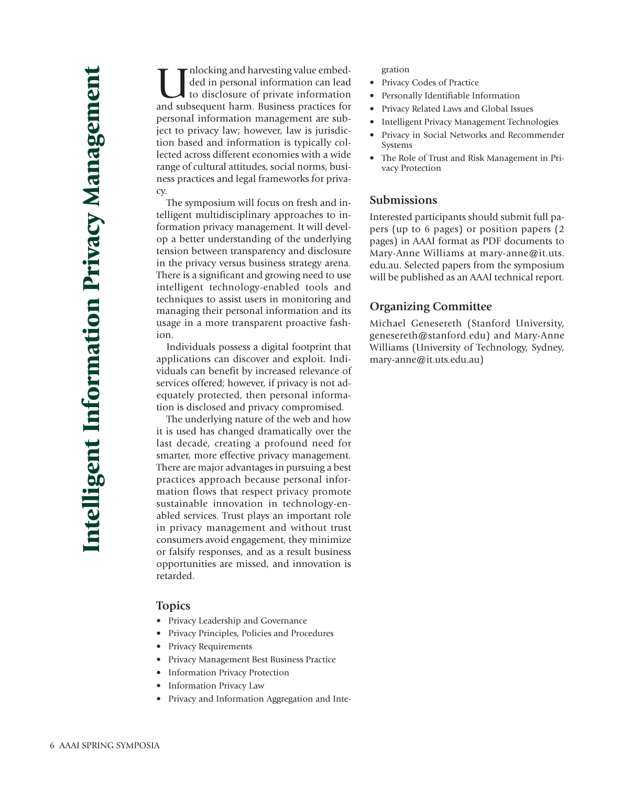Inlocking and harvesting value embed-<br>ded in personal information can lead<br>to disclosure of private information<br>and subsequent harm. Business practices for ded in personal information can lead to disclosure of private information and subsequent harm. Business practices for personal information management are subject to privacy law; however, law is jurisdiction based and information is typically collected across different economies with a wide range of cultural attitudes, social norms, business practices and legal frameworks for privacy.

The symposium will focus on fresh and intelligent multidisciplinary approaches to information privacy management. It will develop a better understanding of the underlying tension between transparency and disclosure in the privacy versus business strategy arena. There is a significant and growing need to use intelligent technology-enabled tools and techniques to assist users in monitoring and managing their personal information and its usage in a more transparent proactive fashion.

Individuals possess a digital footprint that applications can discover and exploit. Individuals can benefit by increased relevance of services offered; however, if privacy is not adequately protected, then personal information is disclosed and privacy compromised.

The underlying nature of the web and how it is used has changed dramatically over the last decade, creating a profound need for smarter, more effective privacy management. There are major advantages in pursuing a best practices approach because personal information flows that respect privacy promote sustainable innovation in technology-enabled services. Trust plays an important role in privacy management and without trust consumers avoid engagement, they minimize or falsify responses, and as a result business opportunities are missed, and innovation is retarded.

#### **Topics**

- Privacy Leadership and Governance
- Privacy Principles, Policies and Procedures
- Privacy Requirements
- Privacy Management Best Business Practice
- Information Privacy Protection
- Information Privacy Law
- Privacy and Information Aggregation and Inte-

#### gration

- Privacy Codes of Practice
- Personally Identifiable Information
- Privacy Related Laws and Global Issues
- Intelligent Privacy Management Technologies
- Privacy in Social Networks and Recommender Systems
- The Role of Trust and Risk Management in Privacy Protection

#### **Submissions**

Interested participants should submit full papers (up to 6 pages) or position papers (2 pages) in AAAI format as PDF documents to Mary-Anne Williams at mary-anne@it.uts. edu.au. Selected papers from the symposium will be published as an AAAI technical report.

#### **Organizing Committee**

Michael Genesereth (Stanford University, genesereth@stanford.edu) and Mary-Anne Williams (University of Technology, Sydney, mary-anne@it.uts.edu.au)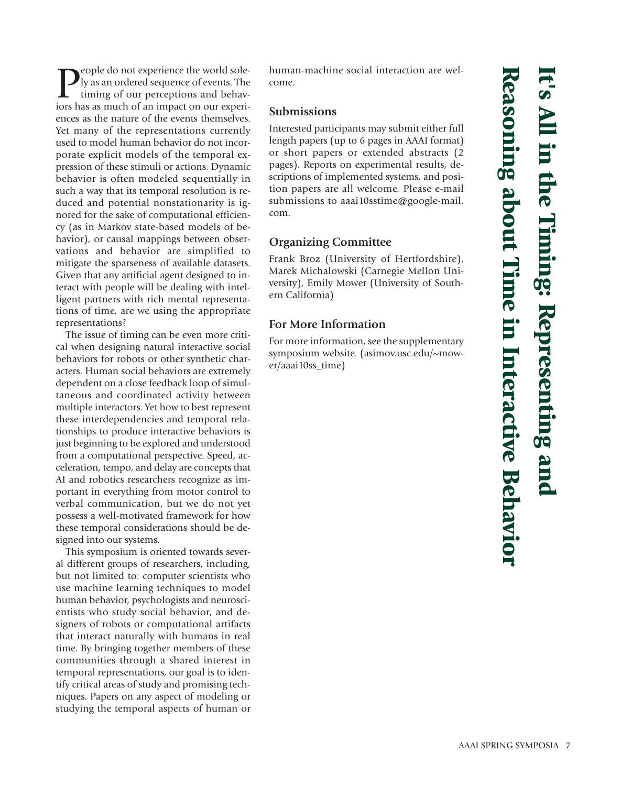**P**eople do not experience the world sole-<br>timing of our perceptions and behav-<br>iors has as much of an impact on our experily as an ordered sequence of events. The timing of our perceptions and behaviors has as much of an impact on our experiences as the nature of the events themselves. Yet many of the representations currently used to model human behavior do not incorporate explicit models of the temporal expression of these stimuli or actions. Dynamic behavior is often modeled sequentially in such a way that its temporal resolution is reduced and potential nonstationarity is ignored for the sake of computational efficiency (as in Markov state-based models of behavior), or causal mappings between observations and behavior are simplified to mitigate the sparseness of available datasets. Given that any artificial agent designed to interact with people will be dealing with intelligent partners with rich mental representations of time, are we using the appropriate representations?

The issue of timing can be even more critical when designing natural interactive social behaviors for robots or other synthetic characters. Human social behaviors are extremely dependent on a close feedback loop of simultaneous and coordinated activity between multiple interactors. Yet how to best represent these interdependencies and temporal relationships to produce interactive behaviors is just beginning to be explored and understood from a computational perspective. Speed, acceleration, tempo, and delay are concepts that AI and robotics researchers recognize as important in everything from motor control to verbal communication, but we do not yet possess a well-motivated framework for how these temporal considerations should be designed into our systems.

This symposium is oriented towards several different groups of researchers, including, but not limited to: computer scientists who use machine learning techniques to model human behavior, psychologists and neuroscientists who study social behavior, and designers of robots or computational artifacts that interact naturally with humans in real time. By bringing together members of these communities through a shared interest in temporal representations, our goal is to identify critical areas of study and promising techniques. Papers on any aspect of modeling or studying the temporal aspects of human or human-machine social interaction are welcome.

#### **Submissions**

Interested participants may submit either full length papers (up to 6 pages in AAAI format) or short papers or extended abstracts (2 pages). Reports on experimental results, descriptions of implemented systems, and position papers are all welcome. Please e-mail submissions to aaai10sstime@google-mail. com.

#### **Organizing Committee**

Frank Broz (University of Hertfordshire), Marek Michalowski (Carnegie Mellon University), Emily Mower (University of Southern California)

#### **For More Information**

For more information, see the supplementary symposium website. (asimov.usc.edu/~mower/aaai10ss\_time)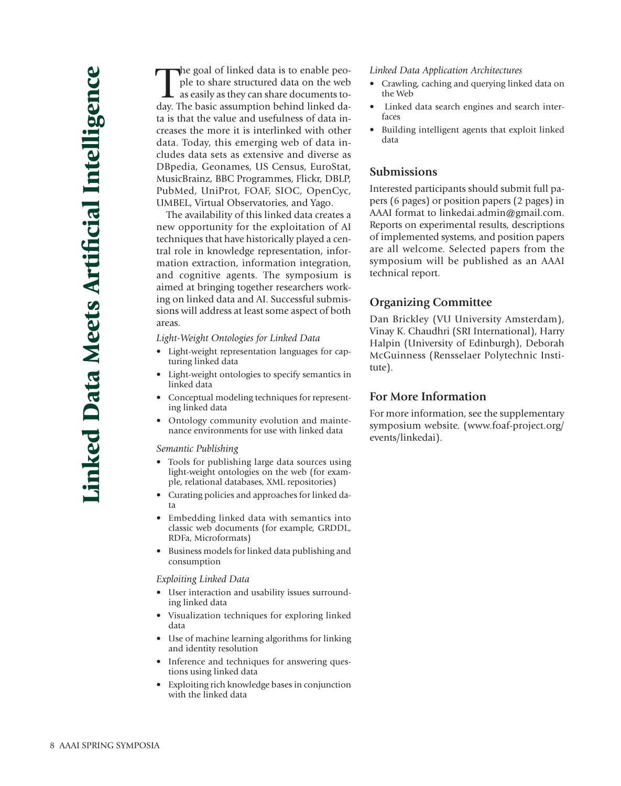The goal of linked data is to enable people to share structured data on the web as easily as they can share documents to-<br>day. The basic assumption behind linked dahe goal of linked data is to enable people to share structured data on the web as easily as they can share documents tota is that the value and usefulness of data increases the more it is interlinked with other data. Today, this emerging web of data includes data sets as extensive and diverse as DBpedia, Geonames, US Census, EuroStat, MusicBrainz, BBC Programmes, Flickr, DBLP, PubMed, UniProt, FOAF, SIOC, OpenCyc, UMBEL, Virtual Observatories, and Yago.

The availability of this linked data creates a new opportunity for the exploitation of AI techniques that have historically played a central role in knowledge representation, information extraction, information integration, and cognitive agents. The symposium is aimed at bringing together researchers working on linked data and AI. Successful submissions will address at least some aspect of both areas.

*Light-Weight Ontologies for Linked Data*

- Light-weight representation languages for capturing linked data
- Light-weight ontologies to specify semantics in linked data
- Conceptual modeling techniques for representing linked data
- Ontology community evolution and maintenance environments for use with linked data

#### *Semantic Publishing*

- Tools for publishing large data sources using light-weight ontologies on the web (for example, relational databases, XML repositories)
- Curating policies and approaches for linked data
- Embedding linked data with semantics into classic web documents (for example, GRDDL, RDFa, Microformats)
- Business models for linked data publishing and consumption

*Exploiting Linked Data*

- User interaction and usability issues surrounding linked data
- Visualization techniques for exploring linked data
- Use of machine learning algorithms for linking and identity resolution
- Inference and techniques for answering questions using linked data
- Exploiting rich knowledge bases in conjunction with the linked data

*Linked Data Application Architectures*

- Crawling, caching and querying linked data on the Web
- Linked data search engines and search interfaces
- Building intelligent agents that exploit linked data

#### **Submissions**

Interested participants should submit full papers (6 pages) or position papers (2 pages) in AAAI format to linkedai.admin@gmail.com. Reports on experimental results, descriptions of implemented systems, and position papers are all welcome. Selected papers from the symposium will be published as an AAAI technical report.

#### **Organizing Committee**

Dan Brickley (VU University Amsterdam), Vinay K. Chaudhri (SRI International), Harry Halpin (University of Edinburgh), Deborah McGuinness (Rensselaer Polytechnic Institute).

#### **For More Information**

For more information, see the supplementary symposium website. (www.foaf-project.org/ events/linkedai).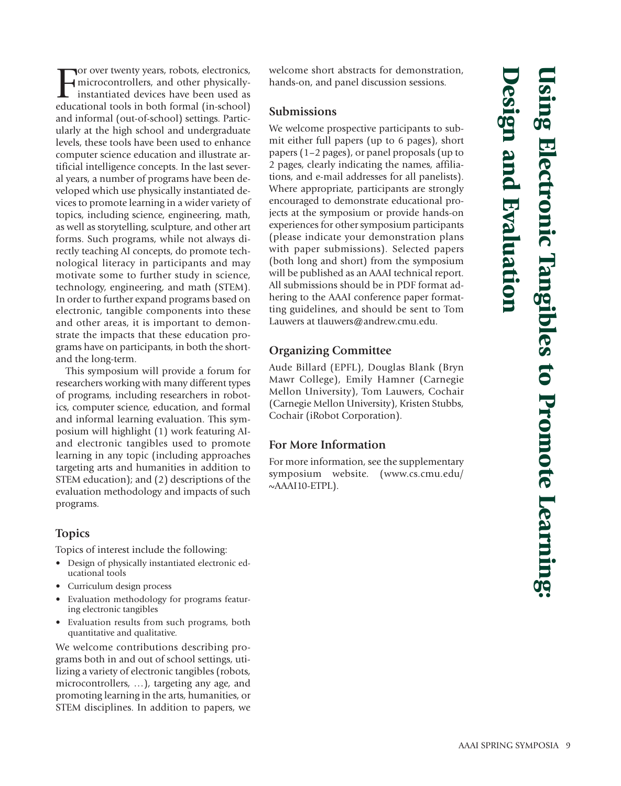For over twenty years, robots, electronics,<br>
microcontrollers, and other physically-<br>
instantiated devices have been used as<br>
educational tools in both formal (in-school) or over twenty years, robots, electronics, microcontrollers, and other physicallyinstantiated devices have been used as and informal (out-of-school) settings. Particularly at the high school and undergraduate levels, these tools have been used to enhance computer science education and illustrate artificial intelligence concepts. In the last several years, a number of programs have been developed which use physically instantiated devices to promote learning in a wider variety of topics, including science, engineering, math, as well as storytelling, sculpture, and other art forms. Such programs, while not always directly teaching AI concepts, do promote technological literacy in participants and may motivate some to further study in science, technology, engineering, and math (STEM). In order to further expand programs based on electronic, tangible components into these and other areas, it is important to demonstrate the impacts that these education programs have on participants, in both the shortand the long-term.

This symposium will provide a forum for researchers working with many different types of programs, including researchers in robotics, computer science, education, and formal and informal learning evaluation. This symposium will highlight (1) work featuring AIand electronic tangibles used to promote learning in any topic (including approaches targeting arts and humanities in addition to STEM education); and (2) descriptions of the evaluation methodology and impacts of such programs.

#### **Topics**

Topics of interest include the following:

- Design of physically instantiated electronic educational tools
- Curriculum design process
- Evaluation methodology for programs featuring electronic tangibles
- Evaluation results from such programs, both quantitative and qualitative.

We welcome contributions describing programs both in and out of school settings, utilizing a variety of electronic tangibles (robots, microcontrollers, …), targeting any age, and promoting learning in the arts, humanities, or STEM disciplines. In addition to papers, we welcome short abstracts for demonstration, hands-on, and panel discussion sessions.

#### **Submissions**

We welcome prospective participants to submit either full papers (up to 6 pages), short papers (1–2 pages), or panel proposals (up to 2 pages, clearly indicating the names, affiliations, and e-mail addresses for all panelists). Where appropriate, participants are strongly encouraged to demonstrate educational projects at the symposium or provide hands-on experiences for other symposium participants (please indicate your demonstration plans with paper submissions). Selected papers (both long and short) from the symposium will be published as an AAAI technical report. All submissions should be in PDF format adhering to the AAAI conference paper formatting guidelines, and should be sent to Tom Lauwers at tlauwers@andrew.cmu.edu.

#### **Organizing Committee**

Aude Billard (EPFL), Douglas Blank (Bryn Mawr College), Emily Hamner (Carnegie Mellon University), Tom Lauwers, Cochair (Carnegie Mellon University), Kristen Stubbs, Cochair (iRobot Corporation).

#### **For More Information**

For more information, see the supplementary symposium website. (www.cs.cmu.edu/ ~AAAI10-ETPL).